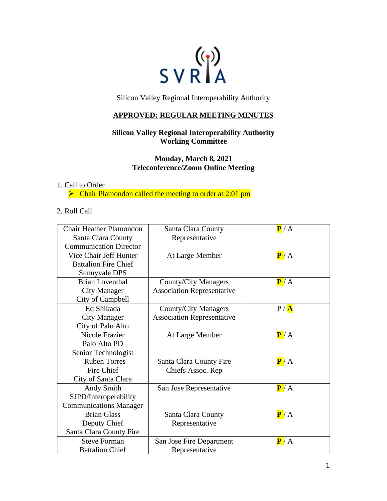

Silicon Valley Regional Interoperability Authority

## **APPROVED: REGULAR MEETING MINUTES**

# **Silicon Valley Regional Interoperability Authority Working Committee**

**Monday, March 8, 2021 Teleconference/Zoom Online Meeting**

### 1. Call to Order

➢ Chair Plamondon called the meeting to order at 2:01 pm

#### 2. Roll Call

| <b>Chair Heather Plamondon</b> | Santa Clara County                | $\overline{\mathbf{P}}$ / A |
|--------------------------------|-----------------------------------|-----------------------------|
| Santa Clara County             | Representative                    |                             |
| <b>Communication Director</b>  |                                   |                             |
| Vice Chair Jeff Hunter         | At Large Member                   | P/A                         |
| <b>Battalion Fire Chief</b>    |                                   |                             |
| Sunnyvale DPS                  |                                   |                             |
| <b>Brian Loventhal</b>         | <b>County/City Managers</b>       | P/A                         |
| <b>City Manager</b>            | <b>Association Representative</b> |                             |
| City of Campbell               |                                   |                             |
| Ed Shikada                     | County/City Managers              | P / A                       |
| <b>City Manager</b>            | <b>Association Representative</b> |                             |
| City of Palo Alto              |                                   |                             |
| Nicole Frazier                 | At Large Member                   | P/A                         |
| Palo Alto PD                   |                                   |                             |
| Senior Technologist            |                                   |                             |
| <b>Ruben Torres</b>            | Santa Clara County Fire           | P/A                         |
| Fire Chief                     | Chiefs Assoc. Rep                 |                             |
| City of Santa Clara            |                                   |                             |
| Andy Smith                     | San Jose Representative           | P/A                         |
| SJPD/Interoperability          |                                   |                             |
| <b>Communications Manager</b>  |                                   |                             |
| <b>Brian Glass</b>             | Santa Clara County                | P/A                         |
| Deputy Chief                   | Representative                    |                             |
| Santa Clara County Fire        |                                   |                             |
| <b>Steve Forman</b>            | San Jose Fire Department          | P/A                         |
| <b>Battalion Chief</b>         | Representative                    |                             |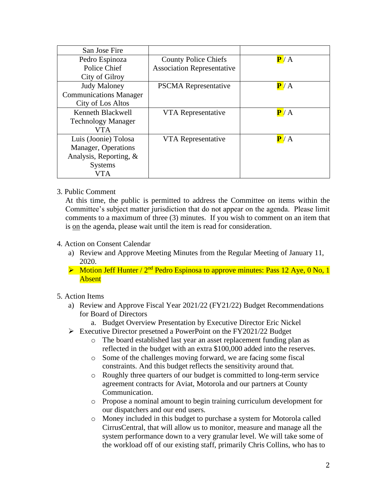| San Jose Fire                 |                                   |     |
|-------------------------------|-----------------------------------|-----|
| Pedro Espinoza                | <b>County Police Chiefs</b>       | P/A |
| Police Chief                  | <b>Association Representative</b> |     |
| City of Gilroy                |                                   |     |
| <b>Judy Maloney</b>           | <b>PSCMA</b> Representative       | P/A |
| <b>Communications Manager</b> |                                   |     |
| City of Los Altos             |                                   |     |
| Kenneth Blackwell             | VTA Representative                | P/A |
| <b>Technology Manager</b>     |                                   |     |
| VTA                           |                                   |     |
| Luis (Joonie) Tolosa          | VTA Representative                | P/A |
| Manager, Operations           |                                   |     |
| Analysis, Reporting, $\&$     |                                   |     |
| <b>Systems</b>                |                                   |     |
| /TA                           |                                   |     |

3. Public Comment

At this time, the public is permitted to address the Committee on items within the Committee's subject matter jurisdiction that do not appear on the agenda. Please limit comments to a maximum of three (3) minutes. If you wish to comment on an item that is on the agenda, please wait until the item is read for consideration.

- 4. Action on Consent Calendar
	- a) Review and Approve Meeting Minutes from the Regular Meeting of January 11, 2020.
	- $\triangleright$  Motion Jeff Hunter / 2<sup>nd</sup> Pedro Espinosa to approve minutes: Pass 12 Aye, 0 No, 1 Absent

# 5. Action Items

- a) Review and Approve Fiscal Year 2021/22 (FY21/22) Budget Recommendations for Board of Directors
	- a. Budget Overview Presentation by Executive Director Eric Nickel
- ➢ Executive Director presetned a PowerPoint on the FY2021/22 Budget
	- o The board established last year an asset replacement funding plan as reflected in the budget with an extra \$100,000 added into the reserves.
	- o Some of the challenges moving forward, we are facing some fiscal constraints. And this budget reflects the sensitivity around that.
	- o Roughly three quarters of our budget is committed to long-term service agreement contracts for Aviat, Motorola and our partners at County Communication.
	- o Propose a nominal amount to begin training curriculum development for our dispatchers and our end users.
	- o Money included in this budget to purchase a system for Motorola called CirrusCentral, that will allow us to monitor, measure and manage all the system performance down to a very granular level. We will take some of the workload off of our existing staff, primarily Chris Collins, who has to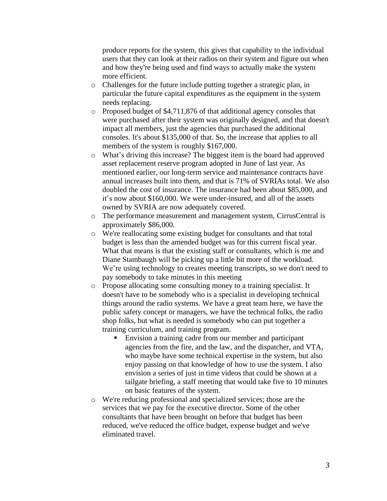produce reports for the system, this gives that capability to the individual users that they can look at their radios on their system and figure out when and how they're being used and find ways to actually make the system more efficient.

- o Challenges for the future include putting together a strategic plan, in particular the future capital expenditures as the equipment in the system needs replacing.
- o Proposed budget of \$4,711,876 of that additional agency consoles that were purchased after their system was originally designed, and that doesn't impact all members, just the agencies that purchased the additional consoles. It's about \$135,000 of that. So, the increase that applies to all members of the system is roughly \$167,000.
- o What's driving this increase? The biggest item is the board had approved asset replacement reserve program adopted in June of last year. As mentioned earlier, our long-term service and maintenance contracts have annual increases built into them, and that is 71% of SVRIAs total. We also doubled the cost of insurance. The insurance had been about \$85,000, and it's now about \$160,000. We were under-insured, and all of the assets owned by SVRIA are now adequately covered.
- o The performance measurement and management system, CirrusCentral is approximately \$86,000.
- o We're reallocating some existing budget for consultants and that total budget is less than the amended budget was for this current fiscal year. What that means is that the existing staff or consultants, which is me and Diane Stambaugh will be picking up a little bit more of the workload. We're using technology to creates meeting transcripts, so we don't need to pay somebody to take minutes in this meeting
- o Propose allocating some consulting money to a training specialist. It doesn't have to be somebody who is a specialist in developing technical things around the radio systems. We have a great team here, we have the public safety concept or managers, we have the technical folks, the radio shop folks, but what is needed is somebody who can put together a training curriculum, and training program.
	- Envision a training cadre from our member and participant agencies from the fire, and the law, and the dispatcher, and VTA, who maybe have some technical expertise in the system, but also enjoy passing on that knowledge of how to use the system. I also envision a series of just in time videos that could be shown at a tailgate briefing, a staff meeting that would take five to 10 minutes on basic features of the system.
- o We're reducing professional and specialized services; those are the services that we pay for the executive director. Some of the other consultants that have been brought on before that budget has been reduced, we've reduced the office budget, expense budget and we've eliminated travel.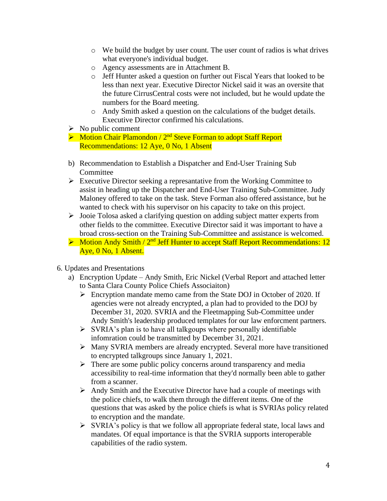- $\circ$  We build the budget by user count. The user count of radios is what drives what everyone's individual budget.
- o Agency assessments are in Attachment B.
- o Jeff Hunter asked a question on further out Fiscal Years that looked to be less than next year. Executive Director Nickel said it was an oversite that the future CirrusCentral costs were not included, but he would update the numbers for the Board meeting.
- o Andy Smith asked a question on the calculations of the budget details. Executive Director confirmed his calculations.
- $\triangleright$  No public comment
- $\triangleright$  Motion Chair Plamondon / 2<sup>nd</sup> Steve Forman to adopt Staff Report Recommendations: 12 Aye, 0 No, 1 Absent
- b) Recommendation to Establish a Dispatcher and End-User Training Sub **Committee**
- ➢ Executive Director seeking a represantative from the Working Committee to assist in heading up the Dispatcher and End-User Training Sub-Committee. Judy Maloney offered to take on the task. Steve Forman also offered assistance, but he wanted to check with his supervisor on his capacity to take on this project.
- ➢ Jooie Tolosa asked a clarifying question on adding subject matter experts from other fields to the committee. Executive Director said it was important to have a broad cross-section on the Training Sub-Committee and assistance is welcomed.
- $\triangleright$  Motion Andy Smith / 2<sup>nd</sup> Jeff Hunter to accept Staff Report Recommendations: 12 Aye, 0 No, 1 Absent.
- 6. Updates and Presentations
	- a) Encryption Update Andy Smith, Eric Nickel (Verbal Report and attached letter to Santa Clara County Police Chiefs Associaiton)
		- ➢ Encryption mandate memo came from the State DOJ in October of 2020. If agencies were not already encrypted, a plan had to provided to the DOJ by December 31, 2020. SVRIA and the Fleetmapping Sub-Committee under Andy Smith's leadership produced templates for our law enforcment partners.
		- $\triangleright$  SVRIA's plan is to have all talkgoups where personally identifiable infomration could be transmitted by December 31, 2021.
		- ➢ Many SVRIA members are already encrypted. Several more have transitioned to encrypted talkgroups since January 1, 2021.
		- ➢ There are some public policy concerns around transparency and media accessibility to real-time information that they'd normally been able to gather from a scanner.
		- $\triangleright$  Andy Smith and the Executive Director have had a couple of meetings with the police chiefs, to walk them through the different items. One of the questions that was asked by the police chiefs is what is SVRIAs policy related to encryption and the mandate.
		- ➢ SVRIA's policy is that we follow all appropriate federal state, local laws and mandates. Of equal importance is that the SVRIA supports interoperable capabilities of the radio system.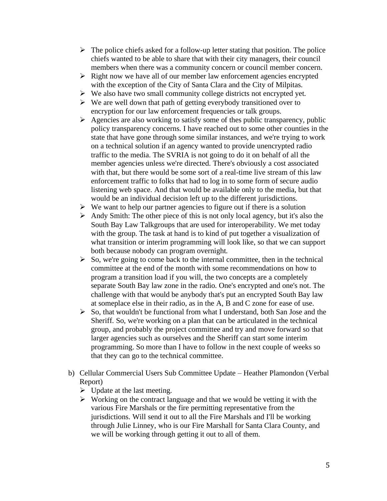- $\triangleright$  The police chiefs asked for a follow-up letter stating that position. The police chiefs wanted to be able to share that with their city managers, their council members when there was a community concern or council member concern.
- $\triangleright$  Right now we have all of our member law enforcement agencies encrypted with the exception of the City of Santa Clara and the City of Milpitas.
- ➢ We also have two small community college districts not encrypted yet.
- ➢ We are well down that path of getting everybody transitioned over to encryption for our law enforcement frequencies or talk groups.
- $\triangleright$  Agencies are also working to satisfy some of thes public transparency, public policy transparency concerns. I have reached out to some other counties in the state that have gone through some similar instances, and we're trying to work on a technical solution if an agency wanted to provide unencrypted radio traffic to the media. The SVRIA is not going to do it on behalf of all the member agencies unless we're directed. There's obviously a cost associated with that, but there would be some sort of a real-time live stream of this law enforcement traffic to folks that had to log in to some form of secure audio listening web space. And that would be available only to the media, but that would be an individual decision left up to the different jurisdictions.
- $\triangleright$  We want to help our partner agencies to figure out if there is a solution
- ➢ Andy Smith: The other piece of this is not only local agency, but it's also the South Bay Law Talkgroups that are used for interoperability. We met today with the group. The task at hand is to kind of put together a visualization of what transition or interim programming will look like, so that we can support both because nobody can program overnight.
- $\triangleright$  So, we're going to come back to the internal committee, then in the technical committee at the end of the month with some recommendations on how to program a transition load if you will, the two concepts are a completely separate South Bay law zone in the radio. One's encrypted and one's not. The challenge with that would be anybody that's put an encrypted South Bay law at someplace else in their radio, as in the A, B and C zone for ease of use.
- $\triangleright$  So, that wouldn't be functional from what I understand, both San Jose and the Sheriff. So, we're working on a plan that can be articulated in the technical group, and probably the project committee and try and move forward so that larger agencies such as ourselves and the Sheriff can start some interim programming. So more than I have to follow in the next couple of weeks so that they can go to the technical committee.
- b) Cellular Commercial Users Sub Committee Update Heather Plamondon (Verbal Report)
	- $\triangleright$  Update at the last meeting.
	- $\triangleright$  Working on the contract language and that we would be vetting it with the various Fire Marshals or the fire permitting representative from the jurisdictions. Will send it out to all the Fire Marshals and I'll be working through Julie Linney, who is our Fire Marshall for Santa Clara County, and we will be working through getting it out to all of them.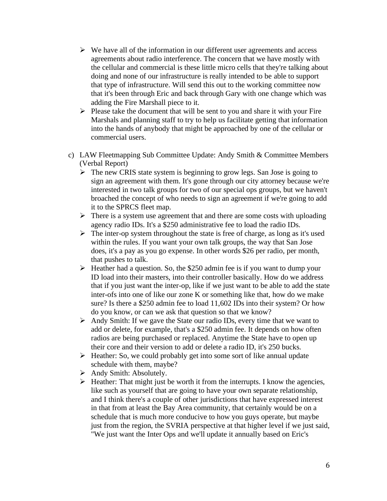- $\triangleright$  We have all of the information in our different user agreements and access agreements about radio interference. The concern that we have mostly with the cellular and commercial is these little micro cells that they're talking about doing and none of our infrastructure is really intended to be able to support that type of infrastructure. Will send this out to the working committee now that it's been through Eric and back through Gary with one change which was adding the Fire Marshall piece to it.
- $\triangleright$  Please take the document that will be sent to you and share it with your Fire Marshals and planning staff to try to help us facilitate getting that information into the hands of anybody that might be approached by one of the cellular or commercial users.
- c) LAW Fleetmapping Sub Committee Update: Andy Smith & Committee Members (Verbal Report)
	- ➢ The new CRIS state system is beginning to grow legs. San Jose is going to sign an agreement with them. It's gone through our city attorney because we're interested in two talk groups for two of our special ops groups, but we haven't broached the concept of who needs to sign an agreement if we're going to add it to the SPRCS fleet map.
	- $\triangleright$  There is a system use agreement that and there are some costs with uploading agency radio IDs. It's a \$250 administrative fee to load the radio IDs.
	- ➢ The inter-op system throughout the state is free of charge, as long as it's used within the rules. If you want your own talk groups, the way that San Jose does, it's a pay as you go expense. In other words \$26 per radio, per month, that pushes to talk.
	- $\triangleright$  Heather had a question. So, the \$250 admin fee is if you want to dump your ID load into their masters, into their controller basically. How do we address that if you just want the inter-op, like if we just want to be able to add the state inter-ofs into one of like our zone K or something like that, how do we make sure? Is there a \$250 admin fee to load 11,602 IDs into their system? Or how do you know, or can we ask that question so that we know?
	- ➢ Andy Smith: If we gave the State our radio IDs, every time that we want to add or delete, for example, that's a \$250 admin fee. It depends on how often radios are being purchased or replaced. Anytime the State have to open up their core and their version to add or delete a radio ID, it's 250 bucks.
	- ➢ Heather: So, we could probably get into some sort of like annual update schedule with them, maybe?
	- ➢ Andy Smith: Absolutely.
	- ➢ Heather: That might just be worth it from the interrupts. I know the agencies, like such as yourself that are going to have your own separate relationship, and I think there's a couple of other jurisdictions that have expressed interest in that from at least the Bay Area community, that certainly would be on a schedule that is much more conducive to how you guys operate, but maybe just from the region, the SVRIA perspective at that higher level if we just said, "We just want the Inter Ops and we'll update it annually based on Eric's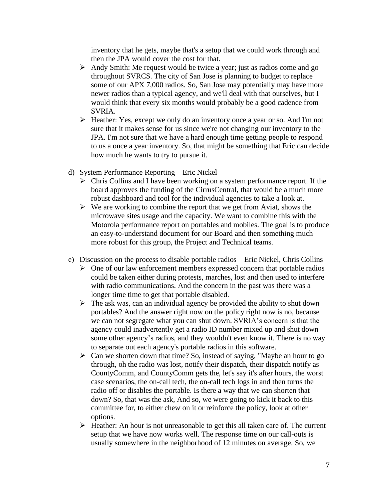inventory that he gets, maybe that's a setup that we could work through and then the JPA would cover the cost for that.

- ➢ Andy Smith: Me request would be twice a year; just as radios come and go throughout SVRCS. The city of San Jose is planning to budget to replace some of our APX 7,000 radios. So, San Jose may potentially may have more newer radios than a typical agency, and we'll deal with that ourselves, but I would think that every six months would probably be a good cadence from SVRIA.
- ➢ Heather: Yes, except we only do an inventory once a year or so. And I'm not sure that it makes sense for us since we're not changing our inventory to the JPA. I'm not sure that we have a hard enough time getting people to respond to us a once a year inventory. So, that might be something that Eric can decide how much he wants to try to pursue it.
- d) System Performance Reporting Eric Nickel
	- ➢ Chris Collins and I have been working on a system performance report. If the board approves the funding of the CirrusCentral, that would be a much more robust dashboard and tool for the individual agencies to take a look at.
	- $\triangleright$  We are working to combine the report that we get from Aviat, shows the microwave sites usage and the capacity. We want to combine this with the Motorola performance report on portables and mobiles. The goal is to produce an easy-to-understand document for our Board and then something much more robust for this group, the Project and Technical teams.
- e) Discussion on the process to disable portable radios Eric Nickel, Chris Collins
	- $\triangleright$  One of our law enforcement members expressed concern that portable radios could be taken either during protests, marches, lost and then used to interfere with radio communications. And the concern in the past was there was a longer time time to get that portable disabled.
	- $\triangleright$  The ask was, can an individual agency be provided the ability to shut down portables? And the answer right now on the policy right now is no, because we can not segregate what you can shut down. SVRIA's concern is that the agency could inadvertently get a radio ID number mixed up and shut down some other agency's radios, and they wouldn't even know it. There is no way to separate out each agency's portable radios in this software.
	- $\triangleright$  Can we shorten down that time? So, instead of saying, "Maybe an hour to go through, oh the radio was lost, notify their dispatch, their dispatch notify as CountyComm, and CountyComm gets the, let's say it's after hours, the worst case scenarios, the on-call tech, the on-call tech logs in and then turns the radio off or disables the portable. Is there a way that we can shorten that down? So, that was the ask, And so, we were going to kick it back to this committee for, to either chew on it or reinforce the policy, look at other options.
	- ➢ Heather: An hour is not unreasonable to get this all taken care of. The current setup that we have now works well. The response time on our call-outs is usually somewhere in the neighborhood of 12 minutes on average. So, we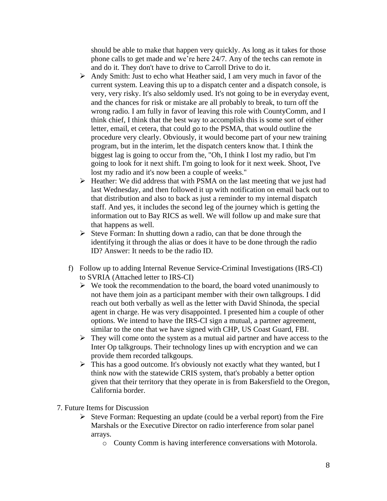should be able to make that happen very quickly. As long as it takes for those phone calls to get made and we're here 24/7. Any of the techs can remote in and do it. They don't have to drive to Carroll Drive to do it.

- $\triangleright$  Andy Smith: Just to echo what Heather said, I am very much in favor of the current system. Leaving this up to a dispatch center and a dispatch console, is very, very risky. It's also seldomly used. It's not going to be in everyday event, and the chances for risk or mistake are all probably to break, to turn off the wrong radio. I am fully in favor of leaving this role with CountyComm, and I think chief, I think that the best way to accomplish this is some sort of either letter, email, et cetera, that could go to the PSMA, that would outline the procedure very clearly. Obviously, it would become part of your new training program, but in the interim, let the dispatch centers know that. I think the biggest lag is going to occur from the, "Oh, I think I lost my radio, but I'm going to look for it next shift. I'm going to look for it next week. Shoot, I've lost my radio and it's now been a couple of weeks."
- ➢ Heather: We did address that with PSMA on the last meeting that we just had last Wednesday, and then followed it up with notification on email back out to that distribution and also to back as just a reminder to my internal dispatch staff. And yes, it includes the second leg of the journey which is getting the information out to Bay RICS as well. We will follow up and make sure that that happens as well.
- ➢ Steve Forman: In shutting down a radio, can that be done through the identifying it through the alias or does it have to be done through the radio ID? Answer: It needs to be the radio ID.
- f) Follow up to adding Internal Revenue Service-Criminal Investigations (IRS-CI) to SVRIA (Attached letter to IRS-CI)
	- $\triangleright$  We took the recommendation to the board, the board voted unanimously to not have them join as a participant member with their own talkgroups. I did reach out both verbally as well as the letter with David Shinoda, the special agent in charge. He was very disappointed. I presented him a couple of other options. We intend to have the IRS-CI sign a mutual, a partner agreement, similar to the one that we have signed with CHP, US Coast Guard, FBI.
	- ➢ They will come onto the system as a mutual aid partner and have access to the Inter Op talkgroups. Their technology lines up with encryption and we can provide them recorded talkgoups.
	- ➢ This has a good outcome. It's obviously not exactly what they wanted, but I think now with the statewide CRIS system, that's probably a better option given that their territory that they operate in is from Bakersfield to the Oregon, California border.
- 7. Future Items for Discussion
	- $\triangleright$  Steve Forman: Requesting an update (could be a verbal report) from the Fire Marshals or the Executive Director on radio interference from solar panel arrays.
		- o County Comm is having interference conversations with Motorola.